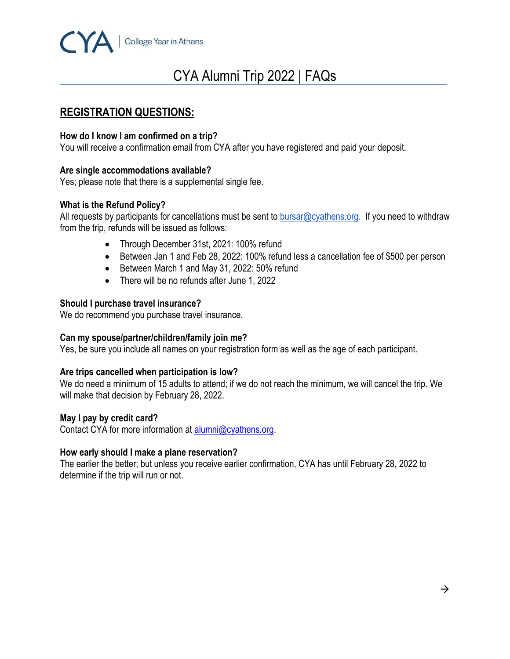

# CYA Alumni Trip 2022 | FAQs

# **REGISTRATION QUESTIONS:**

# **How do I know I am confirmed on a trip?**

You will receive a confirmation email from CYA after you have registered and paid your deposit.

# **Are single accommodations available?**

Yes; please note that there is a supplemental single fee.

# **What is the Refund Policy?**

All requests by participants for cancellations must be sent to [bursar@cyathens.org.](mailto:bursar@cyathens.org)If you need to withdraw from the trip, refunds will be issued as follows:

- Through December 31st, 2021: 100% refund
- Between Jan 1 and Feb 28, 2022: 100% refund less a cancellation fee of \$500 per person
- Between March 1 and May 31, 2022: 50% refund
- There will be no refunds after June 1, 2022

# **Should I purchase travel insurance?**

We do recommend you purchase travel insurance.

# **Can my spouse/partner/children/family join me?**

Yes, be sure you include all names on your registration form as well as the age of each participant.

#### **Are trips cancelled when participation is low?**

We do need a minimum of 15 adults to attend; if we do not reach the minimum, we will cancel the trip. We will make that decision by February 28, 2022.

#### **May I pay by credit card?**

Contact CYA for more information at **alumni@cyathens.org**.

#### **[How early should I make a plane reservation?](https://www.purduealumni.org/travel/frequently-asked-questions/#faq-early)**

The earlier the better; but unless you receive earlier confirmation, CYA has until February 28, 2022 to determine if the trip will run or not.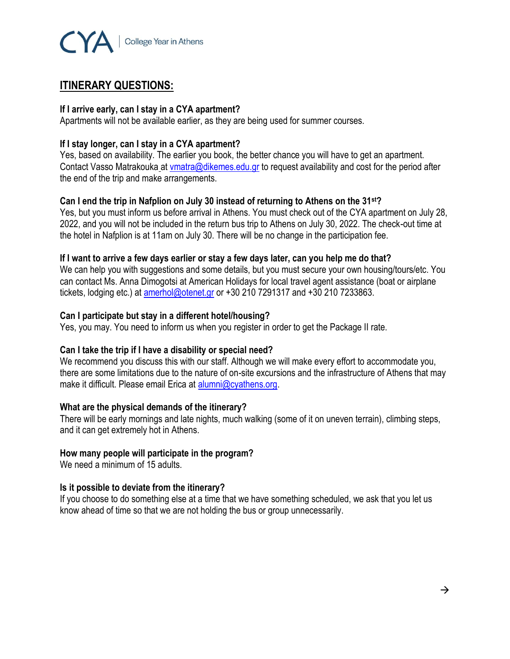

# **ITINERARY QUESTIONS:**

#### **If I arrive early, can I stay in a CYA apartment?**

Apartments will not be available earlier, as they are being used for summer courses.

# **If I stay longer, can I stay in a CYA apartment?**

Yes, based on availability. The earlier you book, the better chance you will have to get an apartment. Contact Vasso Matrakouka at [vmatra@dikemes.edu.gr](mailto:vmatra@dikemes.edu.gr) to request availability and cost for the period after the end of the trip and make arrangements.

# **Can I end the trip in Nafplion on July 30 instead of returning to Athens on the 31st?**

Yes, but you must inform us before arrival in Athens. You must check out of the CYA apartment on July 28, 2022, and you will not be included in the return bus trip to Athens on July 30, 2022. The check-out time at the hotel in Nafplion is at 11am on July 30. There will be no change in the participation fee.

#### **If I want to arrive a few days earlier or stay a few days later, can you help me do that?**

We can help you with suggestions and some details, but you must secure your own housing/tours/etc. You can contact Ms. Anna Dimogotsi at American Holidays for local travel agent assistance (boat or airplane tickets, lodging etc.) at [amerhol@otenet.gr](mailto:amerhol@otenet.gr) or +30 210 7291317 and +30 210 7233863.

# **Can I participate but stay in a different hotel/housing?**

Yes, you may. You need to inform us when you register in order to get the Package II rate.

#### **Can I take the trip if I have a disability or special need?**

We recommend you discuss this with our staff. Although we will make every effort to accommodate you, there are some limitations due to the nature of on-site excursions and the infrastructure of Athens that may make it difficult. Please email Erica at [alumni@cyathens.org.](mailto:alumni@cyathens.org)

# **What are the physical demands of the itinerary?**

There will be early mornings and late nights, much walking (some of it on uneven terrain), climbing steps, and it can get extremely hot in Athens.

# **How many people will participate in the program?**

We need a minimum of 15 adults.

# **Is it possible to deviate from the itinerary?**

If you choose to do something else at a time that we have something scheduled, we ask that you let us know ahead of time so that we are not holding the bus or group unnecessarily.